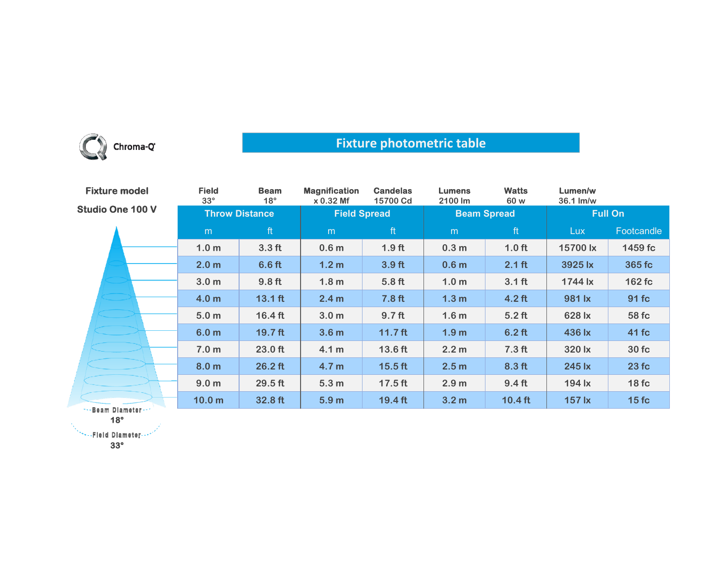

## **Fixture photometric table**

| <b>Fixture model</b>    | <b>Field</b><br>$33^\circ$ | <b>Beam</b><br>$18^\circ$ | <b>Magnification</b><br>x 0.32 Mf | <b>Candelas</b><br>15700 Cd | <b>Lumens</b><br>2100 lm | <b>Watts</b><br>60 w | Lumen/w<br>36.1 lm/w |            |
|-------------------------|----------------------------|---------------------------|-----------------------------------|-----------------------------|--------------------------|----------------------|----------------------|------------|
| <b>Studio One 100 V</b> | <b>Throw Distance</b>      |                           | <b>Field Spread</b>               |                             | <b>Beam Spread</b>       |                      | <b>Full On</b>       |            |
|                         | m                          | ft                        | m                                 | ft                          | m                        | ft                   | Lux.                 | Footcandle |
|                         | 1.0 <sub>m</sub>           | 3.3 <sub>ft</sub>         | 0.6 <sub>m</sub>                  | 1.9 <sub>ft</sub>           | 0.3 <sub>m</sub>         | 1.0 <sub>ft</sub>    | 15700 lx             | 1459 fc    |
|                         | 2.0 <sub>m</sub>           | 6.6 <sub>ft</sub>         | 1.2 <sub>m</sub>                  | 3.9 <sub>ft</sub>           | 0.6 <sub>m</sub>         | $2.1$ ft             | 3925 lx              | 365 fc     |
|                         | 3.0 <sub>m</sub>           | 9.8 <sub>ft</sub>         | 1.8 <sub>m</sub>                  | 5.8 <sub>ft</sub>           | 1.0 <sub>m</sub>         | $3.1$ ft             | $1744 \mathrm{lx}$   | 162 fc     |
|                         | 4.0 <sub>m</sub>           | $13.1$ ft                 | 2.4 <sub>m</sub>                  | 7.8 <sub>ft</sub>           | 1.3 <sub>m</sub>         | $4.2$ ft             | 981 lx               | 91 fc      |
|                         | 5.0 <sub>m</sub>           | $16.4$ ft                 | 3.0 <sub>m</sub>                  | 9.7 <sub>ft</sub>           | 1.6 <sub>m</sub>         | $5.2$ ft             | 628 lx               | 58 fc      |
|                         | 6.0 <sub>m</sub>           | $19.7$ ft                 | 3.6 <sub>m</sub>                  | $11.7$ ft                   | 1.9 <sub>m</sub>         | $6.2$ ft             | 436 lx               | 41 fc      |
|                         | 7.0 <sub>m</sub>           | 23.0 ft                   | 4.1 <sub>m</sub>                  | 13.6 ft                     | 2.2 <sub>m</sub>         | 7.3 <sub>ft</sub>    | 320 lx               | 30fc       |
|                         | 8.0 <sub>m</sub>           | $26.2$ ft                 | 4.7 <sub>m</sub>                  | $15.5$ ft                   | 2.5 <sub>m</sub>         | 8.3 <sub>ft</sub>    | 245 lx               | 23fc       |
|                         | 9.0 <sub>m</sub>           | 29.5 ft                   | 5.3 <sub>m</sub>                  | $17.5$ ft                   | 2.9 <sub>m</sub>         | 9.4 <sub>ft</sub>    | 194 lx               | 18fc       |
| *** Beam Diameter ***   | 10.0 <sub>m</sub>          | 32.8 ft                   | 5.9 <sub>m</sub>                  | $19.4$ ft                   | 3.2 <sub>m</sub>         | $10.4$ ft            | <b>157 lx</b>        | 15fc       |

**18°**

**33°**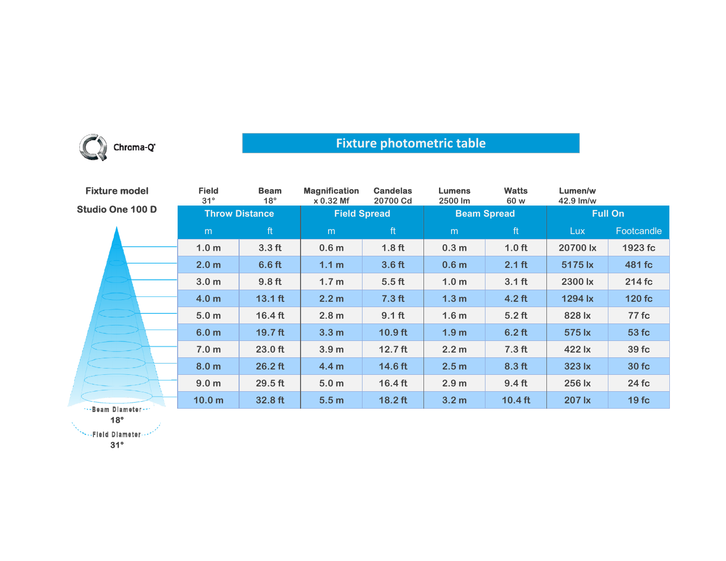

## **Fixture photometric table**

| <b>Fixture model</b>    | <b>Field</b><br>$31^\circ$ | <b>Beam</b><br>$18^\circ$ | <b>Magnification</b><br>x 0.32 Mf | <b>Candelas</b><br>20700 Cd | <b>Lumens</b><br>2500 lm | <b>Watts</b><br>60 w | Lumen/w<br>42.9 lm/w |            |
|-------------------------|----------------------------|---------------------------|-----------------------------------|-----------------------------|--------------------------|----------------------|----------------------|------------|
| <b>Studio One 100 D</b> | <b>Throw Distance</b>      |                           | <b>Field Spread</b>               |                             | <b>Beam Spread</b>       |                      | <b>Full On</b>       |            |
|                         | m                          | ft                        | m                                 | ft                          | m                        | ft                   | <b>Lux</b>           | Footcandle |
|                         | 1.0 <sub>m</sub>           | 3.3 <sub>ft</sub>         | 0.6 <sub>m</sub>                  | 1.8 <sub>ft</sub>           | 0.3 <sub>m</sub>         | 1.0 <sub>ft</sub>    | 20700 lx             | 1923 fc    |
|                         | 2.0 <sub>m</sub>           | 6.6 <sub>ft</sub>         | 1.1 <sub>m</sub>                  | 3.6 <sub>ft</sub>           | 0.6 <sub>m</sub>         | $2.1$ ft             | 5175 lx              | 481 fc     |
|                         | 3.0 <sub>m</sub>           | 9.8 <sub>ft</sub>         | 1.7 <sub>m</sub>                  | 5.5 <sub>ft</sub>           | 1.0 <sub>m</sub>         | 3.1 <sub>ft</sub>    | 2300 lx              | 214 fc     |
|                         | 4.0 <sub>m</sub>           | $13.1$ ft                 | 2.2 <sub>m</sub>                  | 7.3 <sub>ft</sub>           | 1.3 <sub>m</sub>         | $4.2$ ft             | 1294 lx              | 120 fc     |
|                         | 5.0 <sub>m</sub>           | $16.4$ ft                 | 2.8 <sub>m</sub>                  | $9.1$ ft                    | 1.6 <sub>m</sub>         | $5.2$ ft             | 828 lx               | 77 fc      |
|                         | 6.0 <sub>m</sub>           | $19.7$ ft                 | 3.3 <sub>m</sub>                  | $10.9$ ft                   | 1.9 <sub>m</sub>         | $6.2$ ft             | 575 lx               | 53 fc      |
|                         | 7.0 <sub>m</sub>           | 23.0 ft                   | 3.9 <sub>m</sub>                  | $12.7$ ft                   | 2.2 <sub>m</sub>         | $7.3$ ft             | 422 lx               | 39 fc      |
|                         | 8.0 <sub>m</sub>           | $26.2$ ft                 | 4.4 <sub>m</sub>                  | 14.6 ft                     | 2.5 <sub>m</sub>         | 8.3 <sub>ft</sub>    | 323 lx               | 30 fc      |
|                         | 9.0 <sub>m</sub>           | $29.5$ ft                 | 5.0 <sub>m</sub>                  | $16.4$ ft                   | 2.9 <sub>m</sub>         | 9.4 <sub>ft</sub>    | 256 lx               | 24 fc      |
| **- Beam Diameter ***   | 10.0 <sub>m</sub>          | 32.8 ft                   | 5.5 <sub>m</sub>                  | $18.2$ ft                   | 3.2 <sub>m</sub>         | $10.4$ ft            | 207 lx               | 19fc       |

**18°**

**SEE PEND Diameter ...** 

**31°**